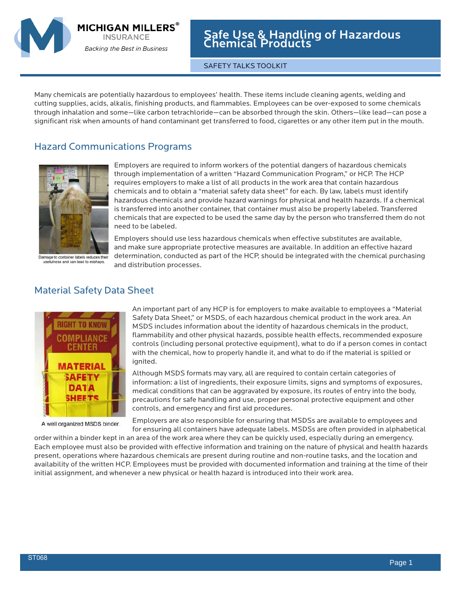

**MICHIGAN MILLERS INSURANCE** 

Backing the Best in Business

Safe Use & Handling of Hazardous Chemical Products

SAFETY TALKS TOOLKIT

Many chemicals are potentially hazardous to employees' health. These items include cleaning agents, welding and cutting supplies, acids, alkalis, finishing products, and flammables. Employees can be over-exposed to some chemicals through inhalation and some—like carbon tetrachloride—can be absorbed through the skin. Others—like lead—can pose a significant risk when amounts of hand contaminant get transferred to food, cigarettes or any other item put in the mouth.

## Hazard Communications Programs



Employers are required to inform workers of the potential dangers of hazardous chemicals through implementation of a written "Hazard Communication Program," or HCP. The HCP requires employers to make a list of all products in the work area that contain hazardous chemicals and to obtain a "material safety data sheet" for each. By law, labels must identify hazardous chemicals and provide hazard warnings for physical and health hazards. If a chemical is transferred into another container, that container must also be properly labeled. Transferred chemicals that are expected to be used the same day by the person who transferred them do not need to be labeled.

Damage to container labels reduces their<br>usefulness and can lead to mishaps.

Employers should use less hazardous chemicals when effective substitutes are available, and make sure appropriate protective measures are available. In addition an effective hazard determination, conducted as part of the HCP, should be integrated with the chemical purchasing and distribution processes.

## Material Safety Data Sheet



A well organized MSDS binder.

An important part of any HCP is for employers to make available to employees a "Material Safety Data Sheet," or MSDS, of each hazardous chemical product in the work area. An MSDS includes information about the identity of hazardous chemicals in the product, flammability and other physical hazards, possible health effects, recommended exposure controls (including personal protective equipment), what to do if a person comes in contact with the chemical, how to properly handle it, and what to do if the material is spilled or ignited.

Although MSDS formats may vary, all are required to contain certain categories of information: a list of ingredients, their exposure limits, signs and symptoms of exposures, medical conditions that can be aggravated by exposure, its routes of entry into the body, precautions for safe handling and use, proper personal protective equipment and other controls, and emergency and first aid procedures.

Employers are also responsible for ensuring that MSDSs are available to employees and for ensuring all containers have adequate labels. MSDSs are often provided in alphabetical

order within a binder kept in an area of the work area where they can be quickly used, especially during an emergency. Each employee must also be provided with effective information and training on the nature of physical and health hazards present, operations where hazardous chemicals are present during routine and non-routine tasks, and the location and availability of the written HCP. Employees must be provided with documented information and training at the time of their initial assignment, and whenever a new physical or health hazard is introduced into their work area.